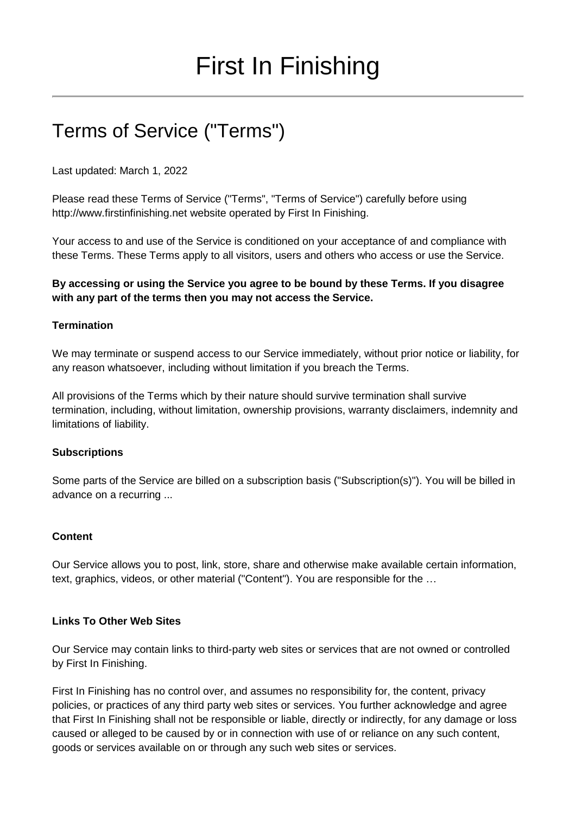# Terms of Service ("Terms")

Last updated: March 1, 2022

Please read these Terms of Service ("Terms", "Terms of Service") carefully before using [http://www.firstinfinishing.net](http://www.firstinfinishing.net/) website operated by First In Finishing.

Your access to and use of the Service is conditioned on your acceptance of and compliance with these Terms. These Terms apply to all visitors, users and others who access or use the Service.

### **By accessing or using the Service you agree to be bound by these Terms. If you disagree with any part of the terms then you may not access the Service.**

#### **Termination**

We may terminate or suspend access to our Service immediately, without prior notice or liability, for any reason whatsoever, including without limitation if you breach the Terms.

All provisions of the Terms which by their nature should survive termination shall survive termination, including, without limitation, ownership provisions, warranty disclaimers, indemnity and limitations of liability.

#### **Subscriptions**

Some parts of the Service are billed on a subscription basis ("Subscription(s)"). You will be billed in advance on a recurring ...

#### **Content**

Our Service allows you to post, link, store, share and otherwise make available certain information, text, graphics, videos, or other material ("Content"). You are responsible for the …

#### **Links To Other Web Sites**

Our Service may contain links to third-party web sites or services that are not owned or controlled by First In Finishing.

First In Finishing has no control over, and assumes no responsibility for, the content, privacy policies, or practices of any third party web sites or services. You further acknowledge and agree that First In Finishing shall not be responsible or liable, directly or indirectly, for any damage or loss caused or alleged to be caused by or in connection with use of or reliance on any such content, goods or services available on or through any such web sites or services.